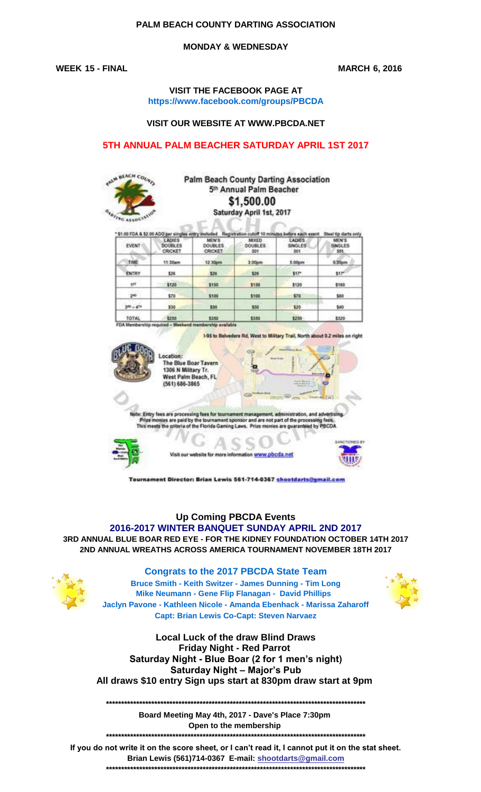## **PALM BEACH COUNTY DARTING ASSOCIATION**

## **MONDAY & WEDNESDAY**

**WEEK 15 - FINAL MARCH 6, 2016**

#### **VISIT THE FACEBOOK PAGE AT https://www.facebook.com/groups/PBCDA**

#### **VISIT OUR WEBSITE AT WWW.PBCDA.NET**

## **5TH ANNUAL PALM BEACHER SATURDAY APRIL 1ST 2017**



## **Palm Beach County Darting Association** 5th Annual Palm Beacher \$1,500.00 Saturday April 1st, 2017

| <b>EVENT</b> | <b>LADIES</b><br><b>DOUBLES</b><br><b>CRICKET</b> | MEN'S<br><b>DOUBLES</b><br>CRICKET | MEEED<br>DOUBLES:<br>501 | LADIES<br>SINGLES<br>501 | MEN'S<br>SINGLES<br>501 |
|--------------|---------------------------------------------------|------------------------------------|--------------------------|--------------------------|-------------------------|
| TIME         | 11:30am                                           | 12.30pm                            | 3.00pm                   | 5.00 <sub>pm</sub>       | 5.30 <sub>pm</sub>      |
| ENTRY        | \$26                                              | 526                                | \$26                     | \$17"                    | \$57 <sup>el</sup>      |
| que e        | \$120                                             | \$150                              | \$150                    | \$120                    | \$160                   |
| 290          | 570                                               | \$100                              | \$100                    | \$70                     | \$80                    |
| $340 - 474$  | \$50                                              | \$50                               | \$50                     | \$20                     | \$40                    |
| TOTAL        | \$250                                             | \$350                              | \$350                    | \$250                    | \$330                   |

7% II



The Blue Boar Tayern 1306 N Military Tr. West Palm Beach, FL (561) 686-3865

es are processing<br>ties are paid by th d are not part of the proce essing fees.<br>Id by PBCDA he Florida Ga meets ria of th



on www.pbcda.net



Tournament Director: Brian Lewis 561-714-0367 shootdarts@gmail.com

# **Up Coming PBCDA Events**

**3RD ANNUAL BLUE BOAR RED EYE - FOR THE KIDNEY FOUNDATION OCTOBER 14TH 2017 2ND ANNUAL WREATHS ACROSS AMERICA TOURNAMENT NOVEMBER 18TH 2017 2016-2017 WINTER BANQUET SUNDAY APRIL 2ND 2017**

#### **Congrats to the 2017 PBCDA State Team**

**Bruce Smith - Keith Switzer - James Dunning - Tim Long Jaclyn Pavone - Kathleen Nicole - Amanda Ebenhack - Marissa Zaharoff Capt: Brian Lewis Co-Capt: Steven Narvaez Mike Neumann - Gene Flip Flanagan - David Phillips** 



**All draws \$10 entry Sign ups start at 830pm draw start at 9pm Local Luck of the draw Blind Draws Saturday Night - Blue Boar (2 for 1 men's night) Saturday Night – Major's Pub Friday Night - Red Parrot** 

**\*\*\*\*\*\*\*\*\*\*\*\*\*\*\*\*\*\*\*\*\*\*\*\*\*\*\*\*\*\*\*\*\*\*\*\*\*\*\*\*\*\*\*\*\*\*\*\*\*\*\*\*\*\*\*\*\*\*\*\*\*\*\*\*\*\*\*\*\*\*\*\*\*\*\*\*\*\*\*\*\*\*\*\*\*\***

**Board Meeting May 4th, 2017 - Dave's Place 7:30pm**  \*\*\*\*\*\*\*\*\*\*\*\*\*\*\*\*\*\*\*\*\*\*\*\*\*\*\*\* **Open to the membership** 

**If you do not write it on the score sheet, or I can't read it, I cannot put it on the stat sheet. Brian Lewis (561)714-0367 E-mail: shootdarts@gmail.com \*\*\*\*\*\*\*\*\*\*\*\*\*\*\*\*\*\*\*\*\*\*\*\*\*\*\*\*\*\*\*\*\*\*\*\*\*\*\*\*\*\*\*\*\*\*\*\*\*\*\*\*\*\*\*\*\*\*\*\*\*\*\*\*\*\*\*\*\*\*\*\*\*\*\*\*\*\*\*\*\*\*\*\*\*\***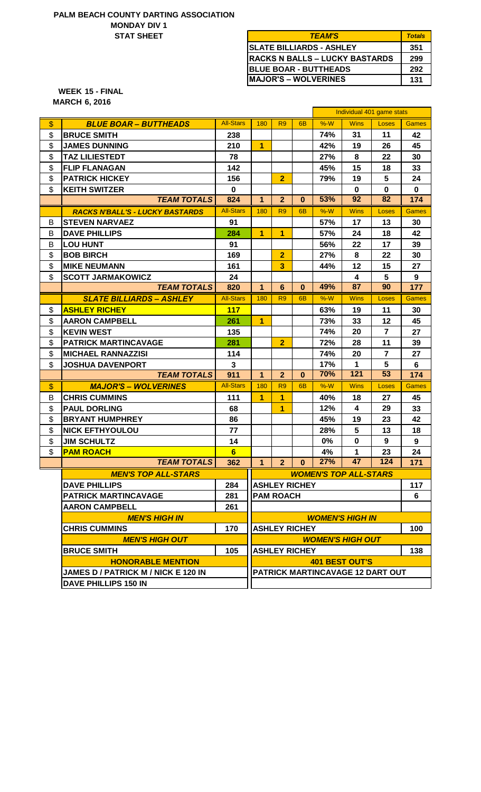#### **MONDAY DIV 1 STAT SHEET PALM BEACH COUNTY DARTING ASSOCIATION**

| <b>TEAM'S</b>                         | <b>Totals</b> |  |  |
|---------------------------------------|---------------|--|--|
| <b> SLATE BILLIARDS - ASHLEY</b>      | 351           |  |  |
| <b>RACKS N BALLS – LUCKY BASTARDS</b> | 299           |  |  |
| <b>IBLUE BOAR - BUTTHEADS</b>         | 292           |  |  |
| <b>IMAJOR'S – WOLVERINES</b>          | 131           |  |  |

**15 - FINAL WEEK 6, 2016 MARCH**

| <b>All-Stars</b><br>$%-W$<br>$\boldsymbol{\$}$<br>180<br>R <sub>9</sub><br><b>Wins</b><br>6 <sub>B</sub><br><b>BLUE BOAR - BUTTHEADS</b> | Loses                   |                 |  |  |  |  |  |
|------------------------------------------------------------------------------------------------------------------------------------------|-------------------------|-----------------|--|--|--|--|--|
|                                                                                                                                          |                         | <b>Games</b>    |  |  |  |  |  |
| \$<br><b>BRUCE SMITH</b><br>238<br>74%<br>31                                                                                             | 11                      | 42              |  |  |  |  |  |
| \$<br><b>JAMES DUNNING</b><br>210<br>$\overline{1}$<br>42%<br>19                                                                         | 26                      | 45              |  |  |  |  |  |
| \$<br><b>TAZ LILIESTEDT</b><br>27%<br>8<br>78                                                                                            | 22                      | 30              |  |  |  |  |  |
| \$<br><b>FLIP FLANAGAN</b><br>142<br>45%<br>15                                                                                           | 18                      | 33              |  |  |  |  |  |
| \$<br><b>PATRICK HICKEY</b><br>$\overline{2}$<br>79%<br>156<br>19                                                                        | 5                       | 24              |  |  |  |  |  |
| \$<br><b>KEITH SWITZER</b><br>$\bf{0}$<br>$\mathbf 0$                                                                                    | $\mathbf 0$             | $\bf{0}$        |  |  |  |  |  |
| 53%<br>92<br><b>TEAM TOTALS</b><br>$\overline{2}$<br>824<br>$\mathbf{1}$<br>$\bf{0}$                                                     | 82                      | 174             |  |  |  |  |  |
| <b>All-Stars</b><br>180<br>R <sub>9</sub><br>$%-W$<br><b>Wins</b><br>6 <sub>B</sub><br><b>RACKS N'BALL'S - LUCKY BASTARDS</b>            | Loses                   | <b>Games</b>    |  |  |  |  |  |
| В<br><b>STEVEN NARVAEZ</b><br>91<br>57%<br>17                                                                                            | 13                      | 30              |  |  |  |  |  |
| B<br><b>DAVE PHILLIPS</b><br>284<br>$\overline{1}$<br>$\overline{1}$<br>57%<br>24                                                        | 18                      | 42              |  |  |  |  |  |
| B<br><b>LOU HUNT</b><br>91<br>56%<br>22                                                                                                  | 17                      | 39              |  |  |  |  |  |
| \$<br>$\overline{2}$<br><b>BOB BIRCH</b><br>27%<br>8<br>169                                                                              | 22                      | 30              |  |  |  |  |  |
| \$<br>3<br><b>MIKE NEUMANN</b><br>161<br>44%<br>12                                                                                       | 15                      | 27              |  |  |  |  |  |
| \$<br><b>SCOTT JARMAKOWICZ</b><br>24<br>4                                                                                                | 5                       | 9               |  |  |  |  |  |
| 87<br><b>TEAM TOTALS</b><br>49%<br>$6\phantom{a}$<br>820<br>$\mathbf{1}$<br>$\mathbf{0}$                                                 | 90                      | 177             |  |  |  |  |  |
| <b>All-Stars</b><br>$%-W$<br>180<br>R <sub>9</sub><br><b>Wins</b><br><b>SLATE BILLIARDS - ASHLEY</b><br>6 <sub>B</sub>                   | Loses                   | <b>Games</b>    |  |  |  |  |  |
| \$<br><b>ASHLEY RICHEY</b><br>117<br>63%<br>19                                                                                           | 11                      | 30              |  |  |  |  |  |
| \$<br>$\overline{1}$<br>73%<br>261<br>33<br><b>AARON CAMPBELL</b>                                                                        | 12                      | 45              |  |  |  |  |  |
| \$<br><b>KEVIN WEST</b><br>74%<br>135<br>20                                                                                              | $\overline{7}$          | 27              |  |  |  |  |  |
| \$<br>$\overline{2}$<br><b>PATRICK MARTINCAVAGE</b><br>72%<br>281<br>28                                                                  | 11                      | 39              |  |  |  |  |  |
| \$<br><b>MICHAEL RANNAZZISI</b><br>74%<br>20<br>114                                                                                      | $\overline{7}$          | 27              |  |  |  |  |  |
| \$<br>$\mathbf{1}$<br><b>JOSHUA DAVENPORT</b><br>$\mathbf{3}$<br>17%                                                                     | 5                       | 6               |  |  |  |  |  |
| 70%<br>121<br><b>TEAM TOTALS</b><br>911<br>$\mathbf{1}$<br>$\overline{2}$<br>$\bf{0}$                                                    | 53                      | 174             |  |  |  |  |  |
| <b>All-Stars</b><br>$\boldsymbol{\$}$<br>180<br>R <sub>9</sub><br>$%-W$<br><b>Wins</b><br><b>MAJOR'S - WOLVERINES</b><br>6 <sub>B</sub>  | Loses                   | <b>Games</b>    |  |  |  |  |  |
| 1<br>1<br><b>CHRIS CUMMINS</b><br>B<br>111<br>40%<br>18                                                                                  | 27                      | 45              |  |  |  |  |  |
| \$<br><b>PAUL DORLING</b><br>68<br>1<br>12%<br>4                                                                                         | 29                      | 33              |  |  |  |  |  |
| \$<br><b>BRYANT HUMPHREY</b><br>45%<br>86<br>19                                                                                          | 23                      | 42              |  |  |  |  |  |
| \$<br><b>NICK EFTHYOULOU</b><br>77<br>28%<br>5                                                                                           | 13                      | 18              |  |  |  |  |  |
| \$<br><b>JIM SCHULTZ</b><br>14<br>0%<br>0                                                                                                | 9                       | 9               |  |  |  |  |  |
| \$<br>$6\phantom{a}$<br>1<br><b>PAM ROACH</b><br>4%                                                                                      | 23                      | 24              |  |  |  |  |  |
| $2 \mid 0 \mid 27\%$<br>$-47$<br><b>TEAM TOTALS</b><br>362<br>1 <sup>1</sup>                                                             | $\frac{124}{ }$         | $\frac{1}{171}$ |  |  |  |  |  |
| <b>MEN'S TOP ALL-STARS</b><br><b>WOMEN'S TOP ALL-STARS</b>                                                                               |                         |                 |  |  |  |  |  |
| <b>DAVE PHILLIPS</b><br>284<br><b>ASHLEY RICHEY</b>                                                                                      |                         |                 |  |  |  |  |  |
| <b>PATRICK MARTINCAVAGE</b><br>281<br><b>PAM ROACH</b>                                                                                   |                         |                 |  |  |  |  |  |
| <b>AARON CAMPBELL</b><br>261                                                                                                             |                         |                 |  |  |  |  |  |
| <b>MEN'S HIGH IN</b>                                                                                                                     | <b>WOMEN'S HIGH IN</b>  |                 |  |  |  |  |  |
| <b>CHRIS CUMMINS</b><br>170<br><b>ASHLEY RICHEY</b>                                                                                      |                         |                 |  |  |  |  |  |
| <b>MEN'S HIGH OUT</b>                                                                                                                    | <b>WOMEN'S HIGH OUT</b> |                 |  |  |  |  |  |
| <b>BRUCE SMITH</b><br>105<br><b>ASHLEY RICHEY</b>                                                                                        | 138                     |                 |  |  |  |  |  |
|                                                                                                                                          | <b>401 BEST OUT'S</b>   |                 |  |  |  |  |  |
| <b>HONORABLE MENTION</b>                                                                                                                 |                         |                 |  |  |  |  |  |
| <b>JAMES D / PATRICK M / NICK E 120 IN</b><br>PATRICK MARTINCAVAGE 12 DART OUT                                                           |                         |                 |  |  |  |  |  |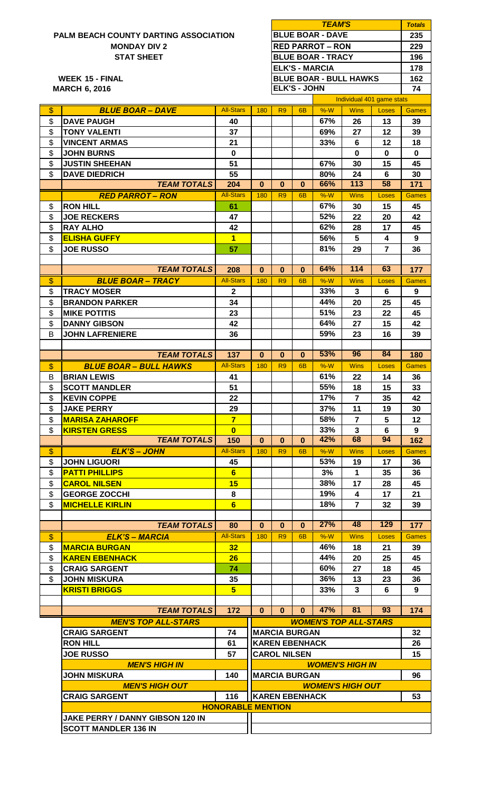# **PALM MONDAY DIV 2**

**SCOTT MANDLER 136 IN**

|                          |                                                     |                         | <b>TEAM'S</b><br><b>BLUE BOAR - DAVE</b><br><b>RED PARROT – RON</b> |                |                     |                               |                |                | <b>Totals</b>      |
|--------------------------|-----------------------------------------------------|-------------------------|---------------------------------------------------------------------|----------------|---------------------|-------------------------------|----------------|----------------|--------------------|
|                          | <b>PALM BEACH COUNTY DARTING ASSOCIATION</b>        |                         |                                                                     |                |                     |                               |                |                | 235                |
|                          | <b>MONDAY DIV 2</b>                                 |                         |                                                                     |                |                     |                               |                |                | 229                |
|                          | <b>STAT SHEET</b>                                   |                         | <b>BLUE BOAR - TRACY</b>                                            |                |                     |                               |                |                | 196                |
|                          |                                                     |                         |                                                                     |                |                     | <b>ELK'S - MARCIA</b>         |                |                | 178                |
|                          | <b>WEEK 15 - FINAL</b>                              |                         |                                                                     |                |                     | <b>BLUE BOAR - BULL HAWKS</b> |                |                | 162                |
|                          | <b>MARCH 6, 2016</b>                                |                         |                                                                     |                | <b>ELK'S - JOHN</b> |                               |                |                | 74                 |
|                          |                                                     |                         | Individual 401 game stats                                           |                |                     |                               |                |                |                    |
| $\mathsf{\$}$            | <b>BLUE BOAR - DAVE</b>                             | <b>All-Stars</b>        | 180                                                                 | R <sub>9</sub> | 6 <sub>B</sub>      | %W                            | <b>Wins</b>    | Loses          | Games              |
| \$                       | <b>DAVE PAUGH</b>                                   | 40                      |                                                                     |                |                     | 67%                           | 26             | 13             | 39                 |
| \$                       | <b>TONY VALENTI</b>                                 | 37                      |                                                                     |                |                     | 69%                           | 27             | 12             | 39                 |
| \$                       | <b>VINCENT ARMAS</b>                                | 21                      |                                                                     |                |                     | 33%                           | $6\phantom{1}$ | 12             | 18<br>$\bf{0}$     |
| \$<br>\$                 | <b>JOHN BURNS</b><br><b>JUSTIN SHEEHAN</b>          | 0<br>51                 |                                                                     |                |                     | 67%                           | $\bf{0}$<br>30 | $\bf{0}$<br>15 | 45                 |
| \$                       | <b>DAVE DIEDRICH</b>                                | 55                      |                                                                     |                |                     | 80%                           | 24             | 6              | 30                 |
|                          | <b>TEAM TOTALS</b>                                  | 204                     | $\bf{0}$                                                            | $\bf{0}$       | $\mathbf{0}$        | 66%                           | 113            | 58             | 171                |
|                          | <b>RED PARROT - RON</b>                             | <b>All-Stars</b>        | 180                                                                 | R <sub>9</sub> | 6B                  | %W                            | <b>Wins</b>    | Loses          | Games              |
| \$                       | <b>RON HILL</b>                                     | 61                      |                                                                     |                |                     | 67%                           | 30             | 15             | 45                 |
| \$                       | <b>JOE RECKERS</b>                                  | 47                      |                                                                     |                |                     | 52%                           | 22             | 20             | 42                 |
| \$                       | <b>RAY ALHO</b>                                     | 42                      |                                                                     |                |                     | 62%                           | 28             | 17             | 45                 |
| \$                       | <b>ELISHA GUFFY</b>                                 | $\blacksquare$          |                                                                     |                |                     | 56%                           | 5              | 4              | 9                  |
| \$                       | <b>JOE RUSSO</b>                                    | 57                      |                                                                     |                |                     | 81%                           | 29             | $\overline{7}$ | 36                 |
|                          |                                                     |                         |                                                                     |                |                     |                               |                |                |                    |
|                          | <b>TEAM TOTALS</b>                                  | 208                     | $\bf{0}$                                                            | $\bf{0}$       | $\bf{0}$            | 64%                           | 114            | 63             | 177                |
| $\boldsymbol{\$}$        | <b>BLUE BOAR - TRACY</b>                            | <b>All-Stars</b>        | 180                                                                 | R <sub>9</sub> | 6B                  | $%-W$                         | <b>Wins</b>    | Loses          | <b>Games</b>       |
| \$                       | <b>TRACY MOSER</b>                                  | $\mathbf{2}$            |                                                                     |                |                     | 33%                           | 3              | 6              | 9                  |
| \$                       | <b>BRANDON PARKER</b>                               | 34                      |                                                                     |                |                     | 44%                           | 20             | 25             | 45                 |
| \$                       | <b>MIKE POTITIS</b>                                 | 23                      |                                                                     |                |                     | 51%                           | 23             | 22             | 45                 |
| \$                       | <b>DANNY GIBSON</b>                                 | 42                      |                                                                     |                |                     | 64%                           | 27             | 15             | 42                 |
| В                        | <b>JOHN LAFRENIERE</b>                              | 36                      |                                                                     |                |                     | 59%                           | 23             | 16             | 39                 |
|                          | <b>TEAM TOTALS</b>                                  |                         | $\bf{0}$                                                            | $\bf{0}$       | $\bf{0}$            | 53%                           | 96             | 84             |                    |
|                          |                                                     | 137<br><b>All-Stars</b> |                                                                     | R <sub>9</sub> | 6 <sub>B</sub>      | $%-W$                         | <b>Wins</b>    |                | 180                |
| $\frac{1}{2}$<br>B       | <b>BLUE BOAR – BULL HAWKS</b><br><b>BRIAN LEWIS</b> | 41                      | 180                                                                 |                |                     | 61%                           | 22             | Loses<br>14    | <b>Games</b><br>36 |
| \$                       | <b>SCOTT MANDLER</b>                                | 51                      |                                                                     |                |                     | 55%                           | 18             | 15             | 33                 |
| \$                       | <b>KEVIN COPPE</b>                                  | 22                      |                                                                     |                |                     | 17%                           | $\overline{7}$ | 35             | 42                 |
| \$                       | <b>JAKE PERRY</b>                                   | 29                      |                                                                     |                |                     | 37%                           | 11             | 19             | 30                 |
| \$                       | <b>MARISA ZAHAROFF</b>                              | $\overline{7}$          |                                                                     |                |                     | 58%                           | $\overline{7}$ | 5              | 12                 |
| \$                       | <b>KIRSTEN GRESS</b>                                | $\bf{0}$                |                                                                     |                |                     | 33%                           | $\mathbf{3}$   | $6\phantom{1}$ | 9                  |
|                          | <b>TEAM TOTALS</b>                                  | 150                     | $\mathbf{0}$                                                        | $\bf{0}$       | $\bf{0}$            | 42%                           | 68             | 94             | 162                |
| $\overline{\mathcal{G}}$ | <b>ELK'S - JOHN</b>                                 | <b>All-Stars</b>        | 180                                                                 | R <sub>9</sub> | 6 <sub>B</sub>      | $%-W$                         | <b>Wins</b>    | Loses          | <b>Games</b>       |
| \$                       | <b>JOHN LIGUORI</b>                                 | 45                      |                                                                     |                |                     | 53%                           | 19             | 17             | 36                 |
| \$                       | <b>PATTI PHILLIPS</b>                               | $6\overline{6}$         |                                                                     |                |                     | 3%                            | $\mathbf 1$    | 35             | 36                 |
| \$                       | <b>CAROL NILSEN</b>                                 | 15                      |                                                                     |                |                     | 38%                           | 17             | 28             | 45                 |
| \$                       | <b>GEORGE ZOCCHI</b>                                | 8                       |                                                                     |                |                     | 19%                           | 4              | 17             | 21                 |
| \$                       | <b>MICHELLE KIRLIN</b>                              | $6\phantom{1}$          |                                                                     |                |                     | 18%                           | $\overline{7}$ | 32             | 39                 |
|                          |                                                     |                         |                                                                     |                |                     |                               |                |                |                    |
|                          | <b>TEAM TOTALS</b>                                  | 80                      | $\bf{0}$                                                            | $\bf{0}$       | $\bf{0}$            | 27%                           | 48             | 129            | 177                |
| $\sqrt[6]{\frac{1}{2}}$  | <b>ELK'S - MARCIA</b>                               | <b>All-Stars</b>        | 180                                                                 | R <sub>9</sub> | 6 <sub>B</sub>      | $%-W$                         | <b>Wins</b>    | Loses          | <b>Games</b>       |
| \$<br>\$                 | <b>MARCIA BURGAN</b>                                | 32<br>26                |                                                                     |                |                     | 46%<br>44%                    | 18             | 21<br>25       | 39<br>45           |
| \$                       | <b>KAREN EBENHACK</b><br><b>CRAIG SARGENT</b>       | 74                      |                                                                     |                |                     | 60%                           | 20<br>27       | 18             | 45                 |
| \$                       | <b>JOHN MISKURA</b>                                 | 35                      |                                                                     |                |                     | 36%                           | 13             | 23             | 36                 |
|                          | <b>KRISTI BRIGGS</b>                                | 5 <sub>5</sub>          |                                                                     |                |                     | 33%                           | $\mathbf{3}$   | 6              | 9                  |
|                          |                                                     |                         |                                                                     |                |                     |                               |                |                |                    |
|                          | <b>TEAM TOTALS</b>                                  | 172                     | $\mathbf{0}$                                                        | $\mathbf{0}$   | $\Omega$            | 47%                           | 81             | 93             | 174                |
|                          | <b>MEN'S TOP ALL-STARS</b>                          |                         |                                                                     |                |                     | <b>WOMEN'S TOP ALL-STARS</b>  |                |                |                    |
|                          | <b>CRAIG SARGENT</b>                                | 74                      | <b>MARCIA BURGAN</b>                                                |                |                     |                               |                |                | 32                 |
|                          | <b>RON HILL</b>                                     | 61                      | <b>KAREN EBENHACK</b><br>57<br><b>CAROL NILSEN</b>                  |                |                     |                               |                |                | 26                 |
|                          | <b>JOE RUSSO</b>                                    |                         |                                                                     |                |                     |                               |                | 15             |                    |
|                          | <b>MEN'S HIGH IN</b>                                |                         |                                                                     |                |                     | <b>WOMEN'S HIGH IN</b>        |                |                |                    |
|                          | <b>JOHN MISKURA</b>                                 | 140                     | <b>MARCIA BURGAN</b>                                                |                |                     |                               |                |                | 96                 |
|                          | <b>MEN'S HIGH OUT</b>                               |                         | <b>WOMEN'S HIGH OUT</b>                                             |                |                     |                               |                |                |                    |
|                          | <b>CRAIG SARGENT</b>                                | 116                     | <b>KAREN EBENHACK</b><br><b>HONORABLE MENTION</b>                   |                |                     |                               |                | 53             |                    |
|                          |                                                     |                         |                                                                     |                |                     |                               |                |                |                    |
|                          | JAKE PERRY / DANNY GIBSON 120 IN                    |                         |                                                                     |                |                     |                               |                |                |                    |